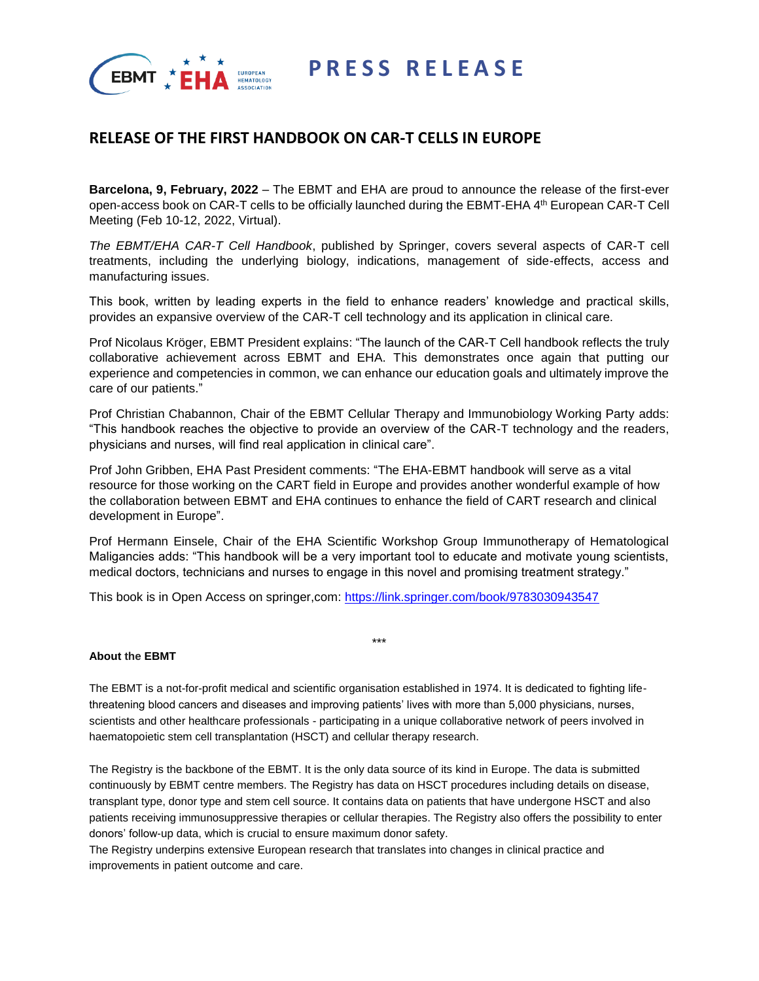



# **RELEASE OF THE FIRST HANDBOOK ON CAR-T CELLS IN EUROPE**

**Barcelona, 9, February, 2022** – The EBMT and EHA are proud to announce the release of the first-ever open-access book on CAR-T cells to be officially launched during the EBMT-EHA 4th European CAR-T Cell Meeting (Feb 10-12, 2022, Virtual).

*The EBMT/EHA CAR-T Cell Handbook*, published by Springer, covers several aspects of CAR-T cell treatments, including the underlying biology, indications, management of side-effects, access and manufacturing issues.

This book, written by leading experts in the field to enhance readers' knowledge and practical skills, provides an expansive overview of the CAR-T cell technology and its application in clinical care.

Prof Nicolaus Kröger, EBMT President explains: "The launch of the CAR-T Cell handbook reflects the truly collaborative achievement across EBMT and EHA. This demonstrates once again that putting our experience and competencies in common, we can enhance our education goals and ultimately improve the care of our patients."

Prof Christian Chabannon, Chair of the EBMT Cellular Therapy and Immunobiology Working Party adds: "This handbook reaches the objective to provide an overview of the CAR-T technology and the readers, physicians and nurses, will find real application in clinical care".

Prof John Gribben, EHA Past President comments: "The EHA-EBMT handbook will serve as a vital resource for those working on the CART field in Europe and provides another wonderful example of how the collaboration between EBMT and EHA continues to enhance the field of CART research and clinical development in Europe".

Prof Hermann Einsele, Chair of the EHA Scientific Workshop Group Immunotherapy of Hematological Maligancies adds: "This handbook will be a very important tool to educate and motivate young scientists, medical doctors, technicians and nurses to engage in this novel and promising treatment strategy."

\*\*\*

This book is in Open Access on springer,com:<https://link.springer.com/book/9783030943547>

# **About the EBMT**

The EBMT is a not-for-profit medical and scientific organisation established in 1974. It is dedicated to fighting lifethreatening blood cancers and diseases and improving patients' lives with more than 5,000 physicians, nurses, scientists and other healthcare professionals - participating in a unique collaborative network of peers involved in haematopoietic stem cell transplantation (HSCT) and cellular therapy research.

The Registry is the backbone of the EBMT. It is the only data source of its kind in Europe. The data is submitted continuously by EBMT centre members. The Registry has data on HSCT procedures including details on disease, transplant type, donor type and stem cell source. It contains data on patients that have undergone HSCT and also patients receiving immunosuppressive therapies or cellular therapies. The Registry also offers the possibility to enter donors' follow-up data, which is crucial to ensure maximum donor safety.

The Registry underpins extensive European research that translates into changes in clinical practice and improvements in patient outcome and care.